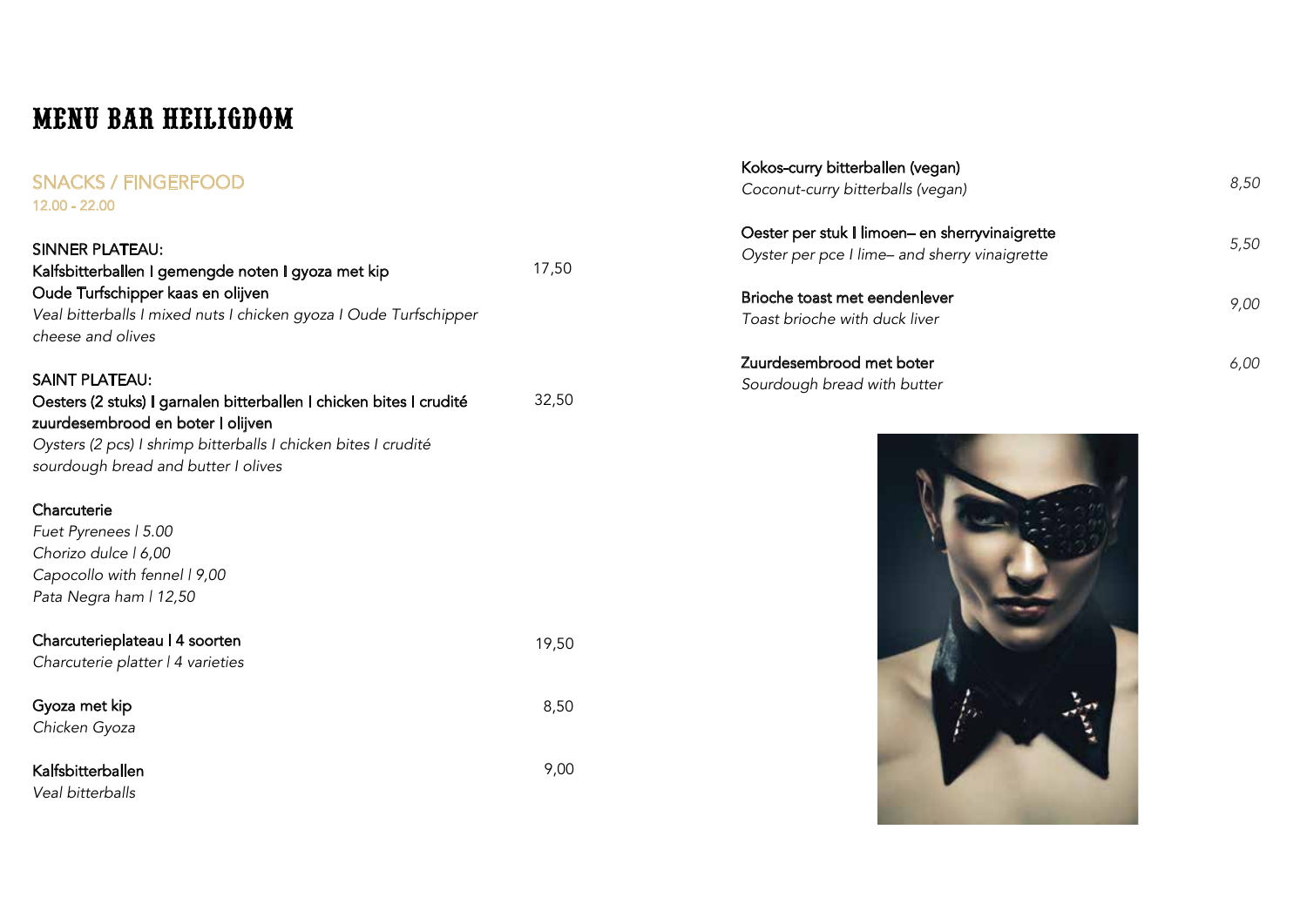# MENU BAR HEILIGDOM

#### SNACKS / FINGERFOOD 12.00 - 22.00

| SINNER PLATEAU:                                                                                          |       |
|----------------------------------------------------------------------------------------------------------|-------|
| Kalfsbitterballen I gemengde noten I gyoza met kip                                                       | 17,50 |
| Oude Turfschipper kaas en olijven                                                                        |       |
| Veal bitterballs I mixed nuts I chicken gyoza I Oude Turfschipper                                        |       |
| cheese and olives                                                                                        |       |
| <b>SAINT PLATEAU:</b>                                                                                    |       |
| Oesters (2 stuks) I garnalen bitterballen I chicken bites I crudité<br>zuurdesembrood en boter I olijven | 32,50 |
| Oysters (2 pcs) I shrimp bitterballs I chicken bites I crudité                                           |       |
| sourdough bread and butter I olives                                                                      |       |
| Charcuterie                                                                                              |       |
| Fuet Pyrenees   5.00                                                                                     |       |
| Chorizo dulce   6,00                                                                                     |       |
| Capocollo with fennel   9,00                                                                             |       |
| Pata Negra ham   12,50                                                                                   |       |
| Charcuterieplateau   4 soorten                                                                           | 19,50 |
| Charcuterie platter   4 varieties                                                                        |       |
| Gyoza met kip                                                                                            | 8,50  |
| Chicken Gyoza                                                                                            |       |
| Kalfsbitterballen                                                                                        | 9,00  |

*Veal bitterballs*

| Kokos-curry bitterballen (vegan)<br>Coconut-curry bitterballs (vegan)                           | 8,50 |
|-------------------------------------------------------------------------------------------------|------|
| Oester per stuk I limoen- en sherryvinaigrette<br>Oyster per pce I lime- and sherry vinaigrette | 5,50 |
| Brioche toast met eendenlever<br>Toast brioche with duck liver                                  | 9.00 |
| Zuurdesembrood met boter<br>Sourdough bread with butter                                         | 6.00 |

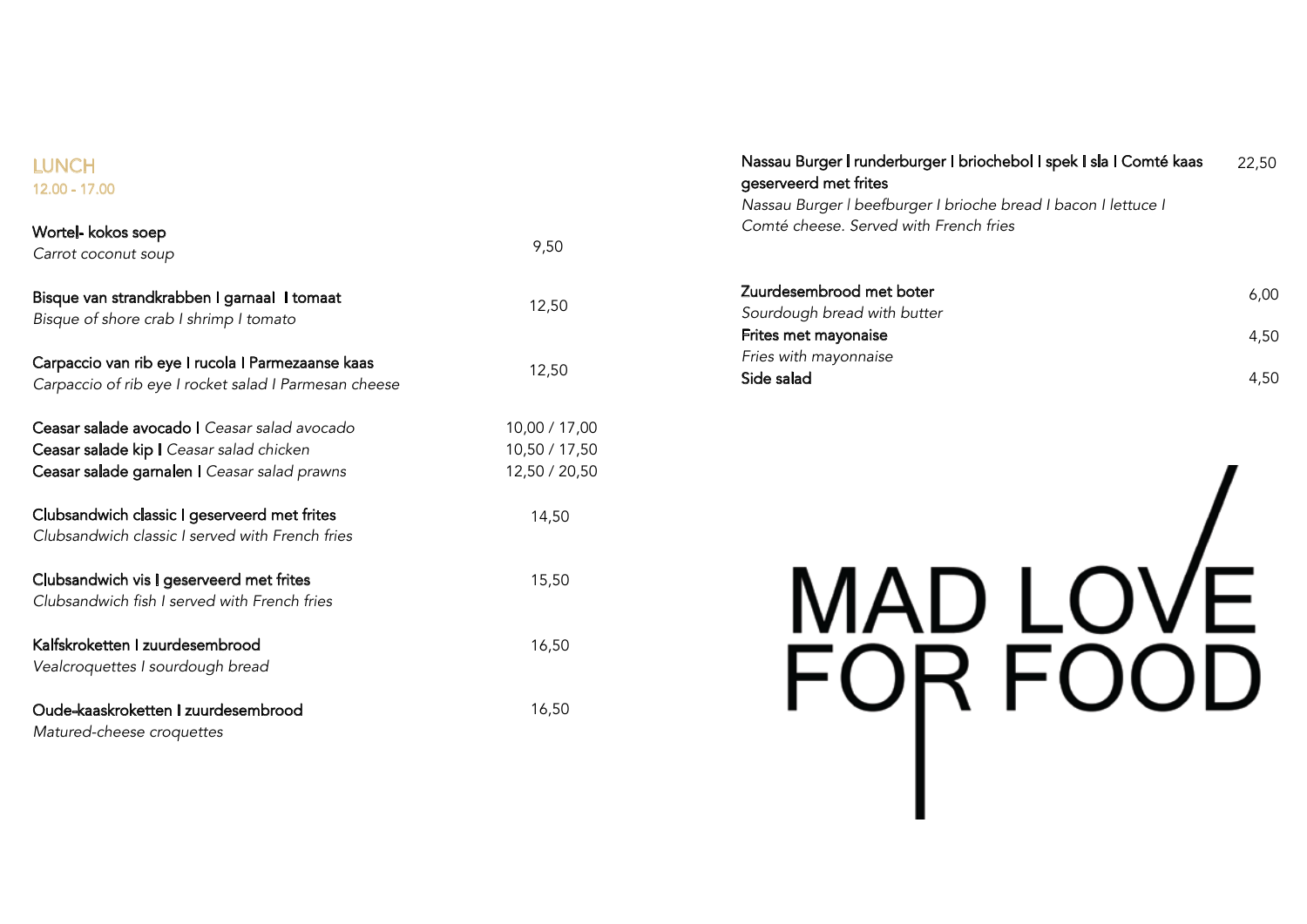### **LUNCH** 12.00 - 17.00

| Wortel- kokos soep<br>Carrot coconut soup                                                                                                       | 9,50                                            |
|-------------------------------------------------------------------------------------------------------------------------------------------------|-------------------------------------------------|
| Bisque van strandkrabben I garnaal I tomaat<br>Bisque of shore crab I shrimp I tomato                                                           | 12,50                                           |
| Carpaccio van rib eye I rucola I Parmezaanse kaas<br>Carpaccio of rib eye I rocket salad I Parmesan cheese                                      | 12,50                                           |
| <b>Ceasar salade avocado I</b> Ceasar salad avocado<br>Ceasar salade kip I Ceasar salad chicken<br>Ceasar salade garnalen I Ceasar salad prawns | 10,00 / 17,00<br>10,50 / 17,50<br>12,50 / 20,50 |
| Clubsandwich classic I geserveerd met frites<br>Clubsandwich classic I served with French fries                                                 | 14,50                                           |
| Clubsandwich vis I geserveerd met frites<br>Clubsandwich fish I served with French fries                                                        | 15,50                                           |
| Kalfskroketten I zuurdesembrood<br>Vealcroquettes I sourdough bread                                                                             | 16,50                                           |
| Oude-kaaskroketten I zuurdesembrood<br>Matured-cheese croquettes                                                                                | 16,50                                           |

Nassau Burger | runderburger I briochebol I spek I sla I Comté kaas geserveerd met frites *Nassau Burger | beefburger I brioche bread I bacon I lettuce I Comté cheese. Served with French fries* 22,50

| Zuurdesembrood met boter    | 6.00 |
|-----------------------------|------|
| Sourdough bread with butter |      |
| Frites met mayonaise        | 4.50 |
| Fries with mayonnaise       |      |
| Side salad                  | 4.50 |
|                             |      |